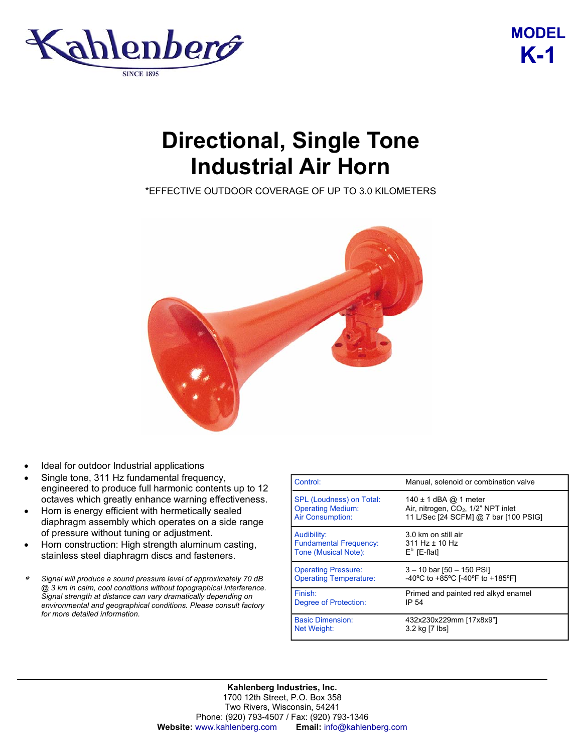

## **MODEL K-1**

## **Directional, Single Tone Industrial Air Horn**

\*EFFECTIVE OUTDOOR COVERAGE OF UP TO 3.0 KILOMETERS



- Ideal for outdoor Industrial applications
- Single tone, 311 Hz fundamental frequency, engineered to produce full harmonic contents up to 12 octaves which greatly enhance warning effectiveness.
- Horn is energy efficient with hermetically sealed diaphragm assembly which operates on a side range of pressure without tuning or adjustment.
- Horn construction: High strength aluminum casting, stainless steel diaphragm discs and fasteners.
- <sup>∗</sup>*Signal will produce a sound pressure level of approximately 70 dB @ 3 km in calm, cool conditions without topographical interference. Signal strength at distance can vary dramatically depending on environmental and geographical conditions. Please consult factory for more detailed information.*

| Control:                      | Manual, solenoid or combination valve           |
|-------------------------------|-------------------------------------------------|
| SPL (Loudness) on Total:      | 140 $\pm$ 1 dBA @ 1 meter                       |
| <b>Operating Medium:</b>      | Air, nitrogen, CO <sub>2</sub> , 1/2" NPT inlet |
| Air Consumption:              | 11 L/Sec [24 SCFM] @ 7 bar [100 PSIG]           |
| Audibility:                   | 3.0 km on still air                             |
| <b>Fundamental Frequency:</b> | $311$ Hz $\pm$ 10 Hz                            |
| Tone (Musical Note):          | $E^b$ [E-flat]                                  |
| <b>Operating Pressure:</b>    | $3 - 10$ bar $[50 - 150$ PSI                    |
| <b>Operating Temperature:</b> | -40°C to +85°C [-40°F to +185°F]                |
| Finish:                       | Primed and painted red alkyd enamel             |
| Degree of Protection:         | IP 54                                           |
| <b>Basic Dimension:</b>       | 432x230x229mm [17x8x9"]                         |
| <b>Net Weight:</b>            | 3.2 kg [7 lbs]                                  |